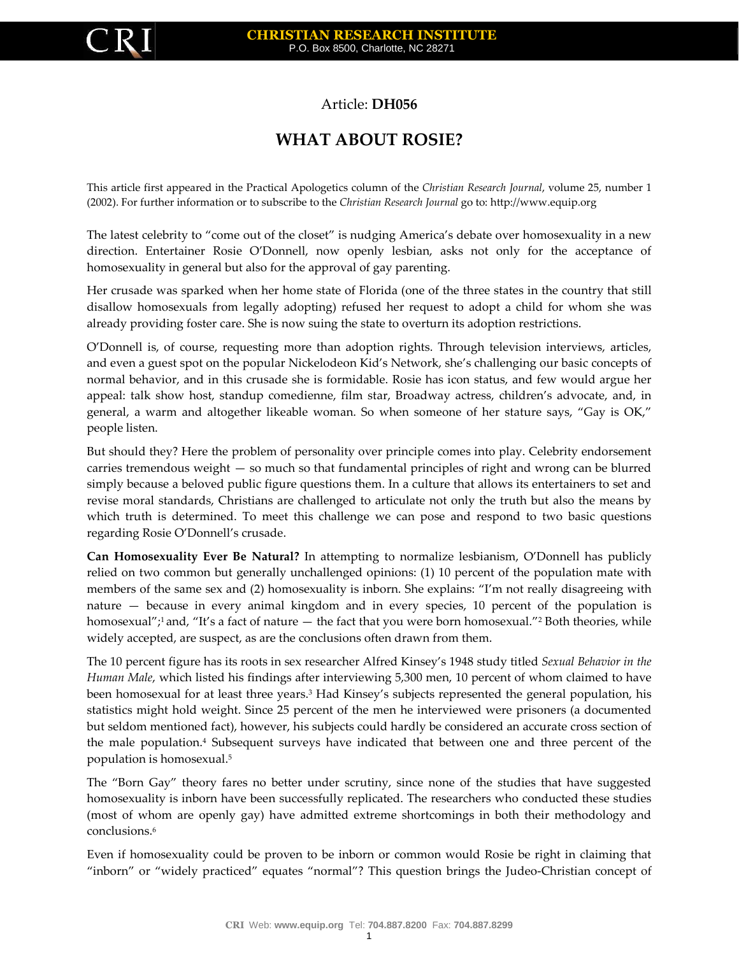

## Article: **DH056**

## **WHAT ABOUT ROSIE?**

This article first appeared in the Practical Apologetics column of the *Christian Research Journal*, volume 25, number 1 (2002). For further information or to subscribe to the *Christian Research Journal* go to: http://www.equip.org

The latest celebrity to "come out of the closet" is nudging America's debate over homosexuality in a new direction. Entertainer Rosie O'Donnell, now openly lesbian, asks not only for the acceptance of homosexuality in general but also for the approval of gay parenting.

Her crusade was sparked when her home state of Florida (one of the three states in the country that still disallow homosexuals from legally adopting) refused her request to adopt a child for whom she was already providing foster care. She is now suing the state to overturn its adoption restrictions.

O'Donnell is, of course, requesting more than adoption rights. Through television interviews, articles, and even a guest spot on the popular Nickelodeon Kid's Network, she's challenging our basic concepts of normal behavior, and in this crusade she is formidable. Rosie has icon status, and few would argue her appeal: talk show host, standup comedienne, film star, Broadway actress, children's advocate, and, in general, a warm and altogether likeable woman. So when someone of her stature says, "Gay is OK," people listen.

But should they? Here the problem of personality over principle comes into play. Celebrity endorsement carries tremendous weight — so much so that fundamental principles of right and wrong can be blurred simply because a beloved public figure questions them. In a culture that allows its entertainers to set and revise moral standards, Christians are challenged to articulate not only the truth but also the means by which truth is determined. To meet this challenge we can pose and respond to two basic questions regarding Rosie O'Donnell's crusade.

**Can Homosexuality Ever Be Natural?** In attempting to normalize lesbianism, O'Donnell has publicly relied on two common but generally unchallenged opinions: (1) 10 percent of the population mate with members of the same sex and (2) homosexuality is inborn. She explains: "I'm not really disagreeing with nature — because in every animal kingdom and in every species, 10 percent of the population is homosexual";<sup>1</sup> and, "It's a fact of nature — the fact that you were born homosexual."<sup>2</sup> Both theories, while widely accepted, are suspect, as are the conclusions often drawn from them.

The 10 percent figure has its roots in sex researcher Alfred Kinsey's 1948 study titled *Sexual Behavior in the Human Male*, which listed his findings after interviewing 5,300 men, 10 percent of whom claimed to have been homosexual for at least three years.<sup>3</sup> Had Kinsey's subjects represented the general population, his statistics might hold weight. Since 25 percent of the men he interviewed were prisoners (a documented but seldom mentioned fact), however, his subjects could hardly be considered an accurate cross section of the male population.<sup>4</sup> Subsequent surveys have indicated that between one and three percent of the population is homosexual.<sup>5</sup>

The "Born Gay" theory fares no better under scrutiny, since none of the studies that have suggested homosexuality is inborn have been successfully replicated. The researchers who conducted these studies (most of whom are openly gay) have admitted extreme shortcomings in both their methodology and conclusions.<sup>6</sup>

Even if homosexuality could be proven to be inborn or common would Rosie be right in claiming that "inborn" or "widely practiced" equates "normal"? This question brings the Judeo-Christian concept of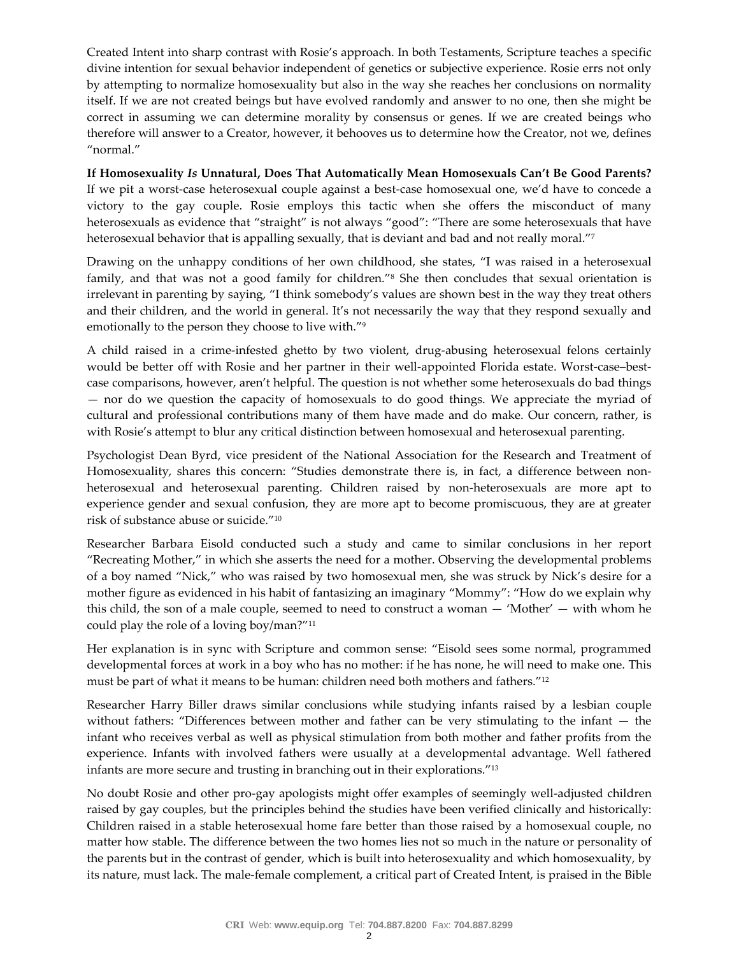Created Intent into sharp contrast with Rosie's approach. In both Testaments, Scripture teaches a specific divine intention for sexual behavior independent of genetics or subjective experience. Rosie errs not only by attempting to normalize homosexuality but also in the way she reaches her conclusions on normality itself. If we are not created beings but have evolved randomly and answer to no one, then she might be correct in assuming we can determine morality by consensus or genes. If we are created beings who therefore will answer to a Creator, however, it behooves us to determine how the Creator, not we, defines "normal."

**If Homosexuality** *Is* **Unnatural, Does That Automatically Mean Homosexuals Can't Be Good Parents?** If we pit a worst-case heterosexual couple against a best-case homosexual one, we'd have to concede a victory to the gay couple. Rosie employs this tactic when she offers the misconduct of many heterosexuals as evidence that "straight" is not always "good": "There are some heterosexuals that have heterosexual behavior that is appalling sexually, that is deviant and bad and not really moral."<sup>7</sup>

Drawing on the unhappy conditions of her own childhood, she states, "I was raised in a heterosexual family, and that was not a good family for children."<sup>8</sup> She then concludes that sexual orientation is irrelevant in parenting by saying, "I think somebody's values are shown best in the way they treat others and their children, and the world in general. It's not necessarily the way that they respond sexually and emotionally to the person they choose to live with."<sup>9</sup>

A child raised in a crime-infested ghetto by two violent, drug-abusing heterosexual felons certainly would be better off with Rosie and her partner in their well-appointed Florida estate. Worst-case–bestcase comparisons, however, aren't helpful. The question is not whether some heterosexuals do bad things — nor do we question the capacity of homosexuals to do good things. We appreciate the myriad of cultural and professional contributions many of them have made and do make. Our concern, rather, is with Rosie's attempt to blur any critical distinction between homosexual and heterosexual parenting.

Psychologist Dean Byrd, vice president of the National Association for the Research and Treatment of Homosexuality, shares this concern: "Studies demonstrate there is, in fact, a difference between nonheterosexual and heterosexual parenting. Children raised by non-heterosexuals are more apt to experience gender and sexual confusion, they are more apt to become promiscuous, they are at greater risk of substance abuse or suicide."<sup>10</sup>

Researcher Barbara Eisold conducted such a study and came to similar conclusions in her report "Recreating Mother," in which she asserts the need for a mother. Observing the developmental problems of a boy named "Nick," who was raised by two homosexual men, she was struck by Nick's desire for a mother figure as evidenced in his habit of fantasizing an imaginary "Mommy": "How do we explain why this child, the son of a male couple, seemed to need to construct a woman — 'Mother' — with whom he could play the role of a loving boy/man?"<sup>11</sup>

Her explanation is in sync with Scripture and common sense: "Eisold sees some normal, programmed developmental forces at work in a boy who has no mother: if he has none, he will need to make one. This must be part of what it means to be human: children need both mothers and fathers."<sup>12</sup>

Researcher Harry Biller draws similar conclusions while studying infants raised by a lesbian couple without fathers: "Differences between mother and father can be very stimulating to the infant — the infant who receives verbal as well as physical stimulation from both mother and father profits from the experience. Infants with involved fathers were usually at a developmental advantage. Well fathered infants are more secure and trusting in branching out in their explorations."<sup>13</sup>

No doubt Rosie and other pro-gay apologists might offer examples of seemingly well-adjusted children raised by gay couples, but the principles behind the studies have been verified clinically and historically: Children raised in a stable heterosexual home fare better than those raised by a homosexual couple, no matter how stable. The difference between the two homes lies not so much in the nature or personality of the parents but in the contrast of gender, which is built into heterosexuality and which homosexuality, by its nature, must lack. The male-female complement, a critical part of Created Intent, is praised in the Bible